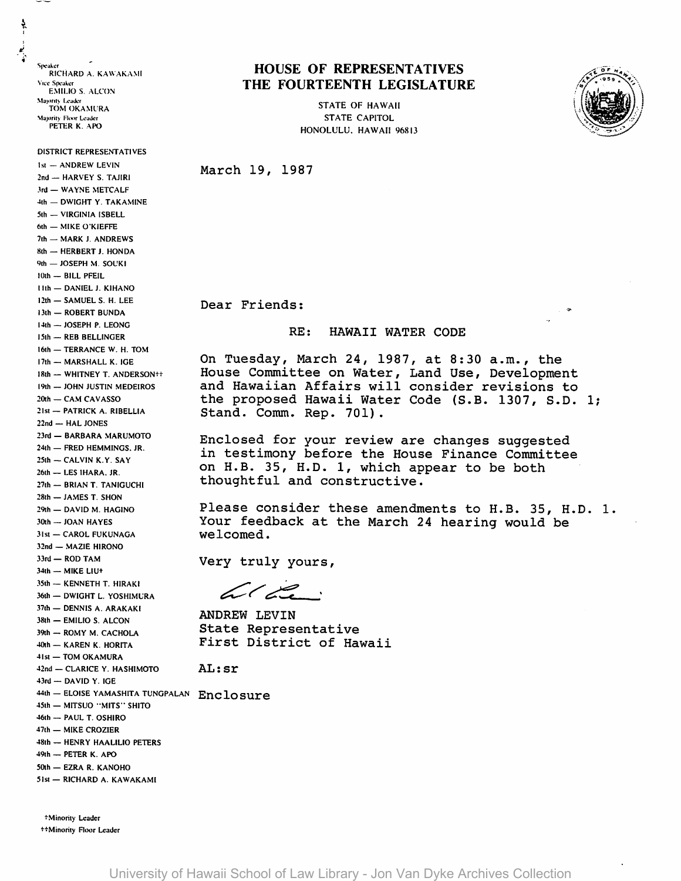Speaker RICHARD A. KAWAKAMI Vice Socaker **EMILIO S. ALCON** Majority Leader **TOM OKAMURA** Majority Floor Leader PETER K. APO

DISTRICT REPRESENTATIVES **1st - ANDREW LEVIN** 

2nd - HARVEY S. TAJIRI 3rd - WAYNE METCALF 4th - DWIGHT Y. TAKAMINE 5th - VIRGINIA ISBELL 6th - MIKE O'KIEFFE 7th - MARK J. ANDREWS 8th - HERBERT J. HONDA 9th - JOSEPH M. SOUKI 10th - BILL PFEIL **Hth - DANIEL J. KIHANO** 12th - SAMUEL S. H. LEE

13th - ROBERT BUNDA  $14th - JOSEPH P. LEONG$ 

15th - REB BELLINGER 16th - TERRANCE W. H. TOM

17th - MARSHALL K. IGE

20th - CAM CAVASSO 21st - PATRICK A. RIBELLIA

22nd - HAL JONES

18th - WHITNEY T. ANDERSON++

19th - JOHN JUSTIN MEDEIROS

23rd - BARBARA MARUMOTO

24th - FRED HEMMINGS, JR.

27th - BRIAN T. TANIGUCHI 28th - JAMES T. SHON

29th - DAVID M. HAGINO

30th - JOAN HAYES 31st - CAROL FUKUNAGA

34th - MIKE LIU+

32nd - MAZIE HIRONO 33rd - ROD TAM

35th - KENNETH T. HIRAKI

38th - EMILIO S. ALCON

39th - ROMY M. CACHOLA

40th - KAREN K. HORITA 41st - TOM OKAMURA

43rd - DAVID Y. IGE

49th - PETER K. APO 50th - EZRA R. KANOHO

36th - DWIGHT L. YOSHIMURA 37th - DENNIS A. ARAKAKI

42nd - CLARICE Y. HASHIMOTO

45th - MITSUO "MITS" SHITO 46th - PAUL T. OSHIRO 47th - MIKE CROZIER

48th - HENRY HAALILIO PETERS

25th - CALVIN K.Y. SAY

26th - LES IHARA. JR.

Ļ

## **HOUSE OF REPRESENTATIVES** THE FOURTEENTH LEGISLATURE

**STATE OF HAWAII STATE CAPITOL** HONOLULU, HAWAII 96813



March 19, 1987

Dear Friends:

## RE: HAWAII WATER CODE

On Tuesday, March 24, 1987, at 8:30 a.m., the House Committee on Water, Land Use, Development and Hawaiian Affairs will consider revisions to the proposed Hawaii Water Code (S.B. 1307, S.D. 1; Stand. Comm. Rep. 701).

Enclosed for your review are changes suggested in testimony before the House Finance Committee on H.B. 35, H.D. 1, which appear to be both thoughtful and constructive.

Please consider these amendments to H.B. 35, H.D. 1. Your feedback at the March 24 hearing would be welcomed.

Very truly yours,

 $\angle\angle$ 

**ANDREW LEVIN** State Representative First District of Hawaii

AL: sr

44th - ELOISE YAMASHITA TUNGPALAN Enclosure

51st - RICHARD A. KAWAKAMI

+Minority Leader ##Minority Floor Leader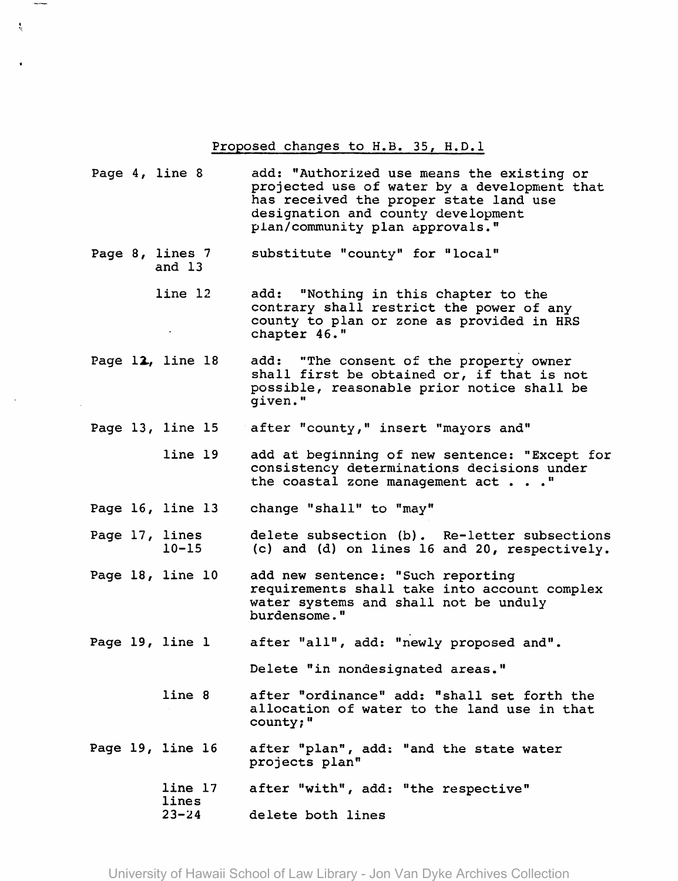Proposed changes to H.B. 35, H.D.l

- Page 4, line 8 add: "Authorized use means the existing or projected use of water by a development that has received the proper state land use designation and county development plan/community plan approvals."
- Page 8, lines 7 and 13 substitute "county" for "local"

\$,

- line 12 add: "Nothing in this chapter to the contrary shall restrict the power of any county to plan or zone as provided in HRS chapter 46."
- Page  $12$ , line  $18$ add: "The consent of the property owner shall first be obtained or, if that is not possible, reasonable prior notice shall be given."
- Page 13, line 15 after "county," insert "mayors and"
	- line 19 add at beginning of new sentence: "Except for consistency determinations decisions under<br>the coastal zone management act . . . "
- Page 16, line 13 change "shall" to "may"
- Page 17, lines 10-15 delete subsection (b). Re-letter subsections (c) and (d) on lines 16 and 20, respectively.
- Page 18, line 10 add new sentence: "Such reporting requirements shall take into account complex water systems and shall not be unduly burdensome."
- Page 19, line I after "all", add: "newly proposed and".

Delete "in nondesignated areas."

- line 8 after "ordinance" add: "shall set forth the allocation of water to the land use in that county;"
- Page 19, line 16 after "plan", add: "and the state water projects plan"
	- line 17 lines after "with", add: "the respective"
		- $23 24$ delete both lines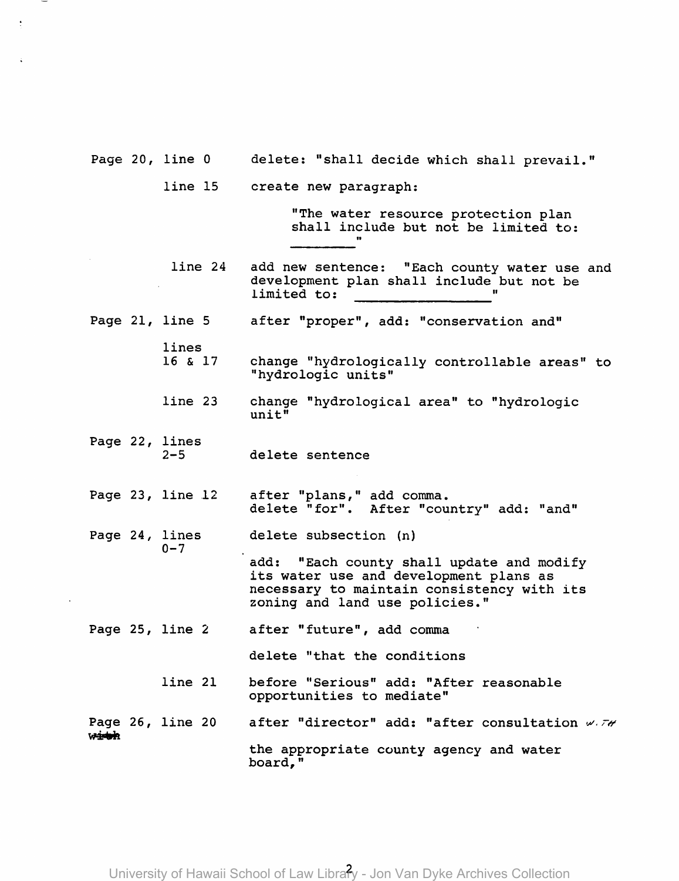- Page 20, line 0 delete: "shall decide which shall prevail."
	- line 15 create new paragraph:

"The water resource protection plan shall include but not be limited to:

- line 24 add new sentence: "Each county water use and development plan shall include but not be limited to:
- Page 21, line 5 after "proper", add: "conservation and"
	- 16 & 17 change "hydrologically controllable areas" to "hydrologic units"
	- line 23 change "hydrological area" to "hydrologic unit"
- Page 22, lines  $2 - 5$ delete sentence

lines

 $0 - 7$ 

- Page  $23$ , line  $12$ after "plans," add comma. delete "for". After "country" add: "and"
- Page 24, lines delete subsection (n)

add: "Each county shall update and modify its water use and development plans as necessary to maintain consistency with its zoning and land use policies."

Page 25, line 2 after "future", add comma

delete "that the conditions

line 21 before "Serious" add: "After reasonable opportunities to mediate"

Page 26, line 20<br>w<del>ith</del> after "director" add: "after consultation  $\mathscr{M}$ 

the appropriate county agency and water board,"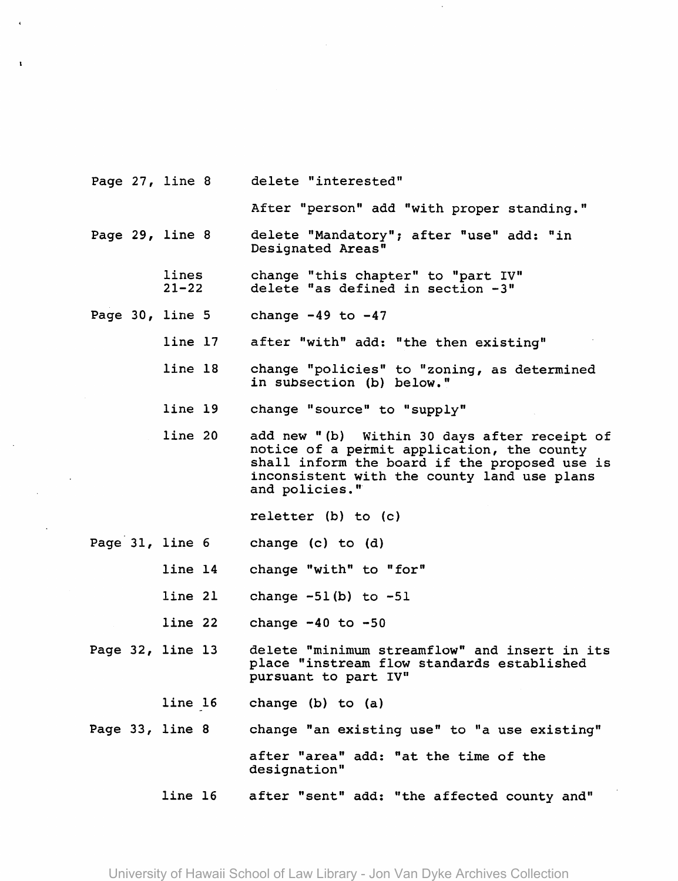|  | Page 27, line 8    | delete "interested"                                                                                                                                                                                          |
|--|--------------------|--------------------------------------------------------------------------------------------------------------------------------------------------------------------------------------------------------------|
|  |                    | After "person" add "with proper standing."                                                                                                                                                                   |
|  | Page 29, line 8    | delete "Mandatory"; after "use" add: "in<br>Designated Areas"                                                                                                                                                |
|  | lines<br>$21 - 22$ | change "this chapter" to "part IV"<br>delete "as defined in section -3"                                                                                                                                      |
|  | Page 30, line 5    | change $-49$ to $-47$                                                                                                                                                                                        |
|  | line 17            | after "with" add: "the then existing"                                                                                                                                                                        |
|  | line 18            | change "policies" to "zoning, as determined<br>in subsection (b) below."                                                                                                                                     |
|  | line 19            | change "source" to "supply"                                                                                                                                                                                  |
|  | line 20            | add new "(b) Within 30 days after receipt of<br>notice of a permit application, the county<br>shall inform the board if the proposed use is<br>inconsistent with the county land use plans<br>and policies." |
|  |                    | reletter $(b)$ to $(c)$                                                                                                                                                                                      |
|  | Page 31, line 6    | change (c) to (d)                                                                                                                                                                                            |
|  | line 14            | change "with" to "for"                                                                                                                                                                                       |
|  | line 21            | change $-51(b)$ to $-51$                                                                                                                                                                                     |
|  | line 22            | change $-40$ to $-50$                                                                                                                                                                                        |
|  | Page 32, line 13   | delete "minimum streamflow" and insert in its<br>place "instream flow standards established<br>pursuant to part IV"                                                                                          |
|  | line 16            | change (b) to (a)                                                                                                                                                                                            |
|  | Page 33, line 8    | change "an existing use" to "a use existing"                                                                                                                                                                 |
|  |                    | after "area" add: "at the time of the<br>designation"                                                                                                                                                        |
|  | line 16            | after "sent" add: "the affected county and"                                                                                                                                                                  |

 $\sim$   $\sim$ 

 $\mathcal{A}^{\pm}$ 

 $\mathcal{L}_{\text{max}}$ 

 $\mathbf{A}^{(1)}$  and  $\mathbf{A}^{(2)}$ 

University of Hawaii School of Law Library - Jon Van Dyke Archives Collection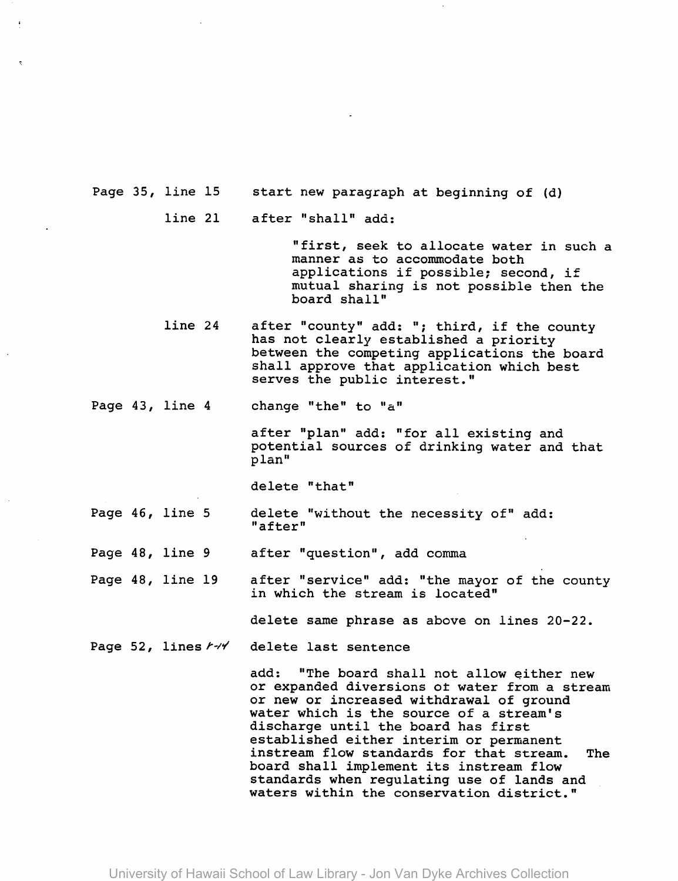Page 35, line 15 start new paragraph at beginning of (d)

> line 21 after "shall" add:

> > "first, seek to allocate water in such a manner as to accommodate both applications if possible; second, if mutual sharing is not possible then the board shall"

line 24 after "county" add: "; third, if the county has not clearly established a priority between the competing applications the board shall approve that application which best serves the public interest."

Page 43, line 4 change "the" to "a"

> after "plan" add: "for all existing and potential sources of drinking water and that plan"

delete "that"

Page 46, line 5 delete "without the necessity of" add: "after"

Page  $48$ , line  $9$ after "question", add comma

Page 48, line 19 after "service" add: "the mayor of the county in which the stream is located"

delete same phrase as above on lines 20-22.

Page 52, lines  $r \rightarrow V$  delete last sentence

add: "The board shall not allow either new or expanded diversions ot water from a stream or new or increased withdrawal of ground water which is the source of a stream's discharge until the board has first established either interim or permanent instream flow standards for that stream. The board shall implement its instream flow standards when regulating use of lands and waters within the conservation district."